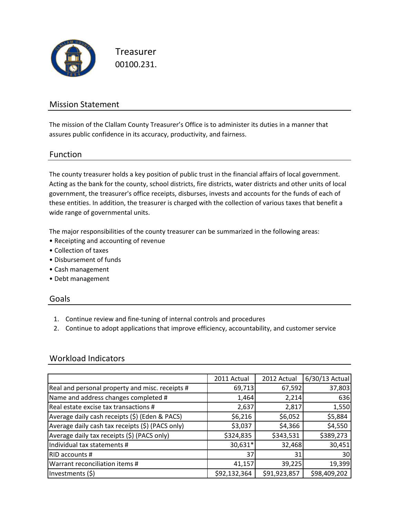

Treasurer 00100.231.

### Mission Statement

The mission of the Clallam County Treasurer's Office is to administer its duties in a manner that assures public confidence in its accuracy, productivity, and fairness.

### Function

The county treasurer holds a key position of public trust in the financial affairs of local government. Acting as the bank for the county, school districts, fire districts, water districts and other units of local government, the treasurer's office receipts, disburses, invests and accounts for the funds of each of these entities. In addition, the treasurer is charged with the collection of various taxes that benefit a wide range of governmental units.

The major responsibilities of the county treasurer can be summarized in the following areas:

- Receipting and accounting of revenue
- Collection of taxes
- Disbursement of funds
- Cash management
- Debt management

#### Goals

- 1. Continue review and fine-tuning of internal controls and procedures
- 2. Continue to adopt applications that improve efficiency, accountability, and customer service

### Workload Indicators

|                                                  | 2011 Actual     | 2012 Actual  | 6/30/13 Actual |
|--------------------------------------------------|-----------------|--------------|----------------|
| Real and personal property and misc. receipts #  | 69,713          | 67,592       | 37,803         |
| Name and address changes completed #             | 1,464           | 2,214        | 636            |
| Real estate excise tax transactions #            | 2,637           | 2,817        | 1,550          |
| Average daily cash receipts (\$) (Eden & PACS)   | \$6,216         | \$6,052      | \$5,884        |
| Average daily cash tax receipts (\$) (PACS only) | \$3,037         | \$4,366      | \$4,550        |
| Average daily tax receipts (\$) (PACS only)      | \$324,835       | \$343,531    | \$389,273      |
| Individual tax statements #                      | 30,631*         | 32,468       | 30,451         |
| RID accounts #                                   | 37 <sup>1</sup> | 31           | 30             |
| Warrant reconciliation items #                   | 41,157          | 39,225       | 19,399         |
| Investments (\$)                                 | \$92,132,364    | \$91,923,857 | \$98,409,202   |